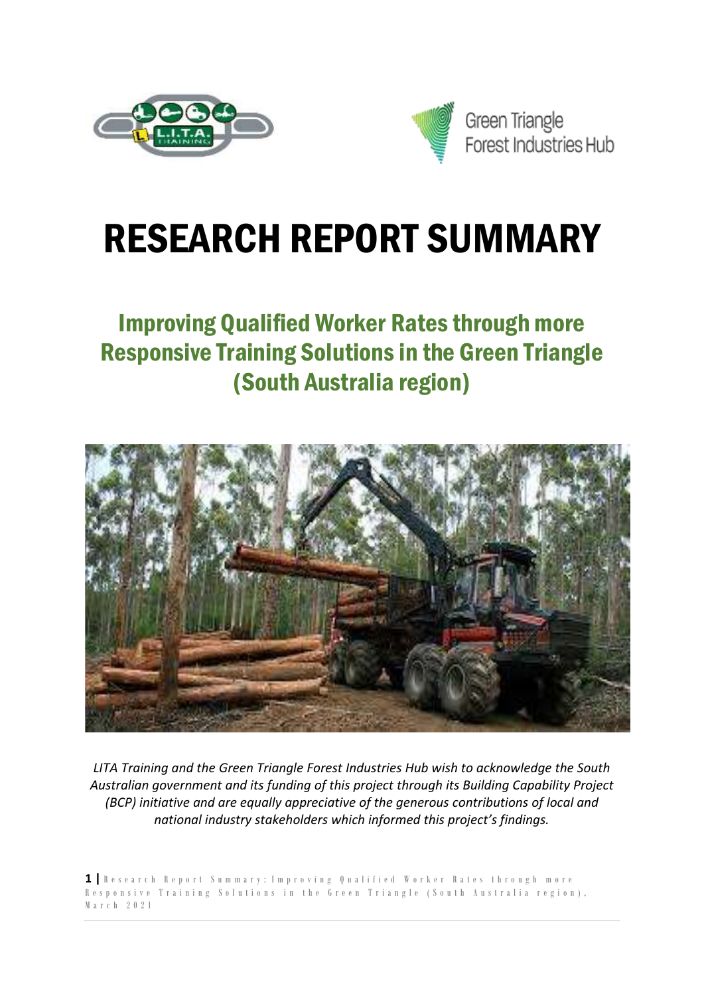



# RESEARCH REPORT SUMMARY

## Improving Qualified Worker Rates through more Responsive Training Solutions in the Green Triangle (South Australia region)



*LITA Training and the Green Triangle Forest Industries Hub wish to acknowledge the South Australian government and its funding of this project through its Building Capability Project (BCP) initiative and are equally appreciative of the generous contributions of local and national industry stakeholders which informed this project's findings.*

**1 |** R e s e a r c h R e p o r t S u m m a r y : I m p r o v i n g Q u a l i f i e d W o r k e r R a t e s t h r o u g h m o r e Responsive Training Solutions in the Green Triangle (South Australia region), M a r c h 2 0 2 1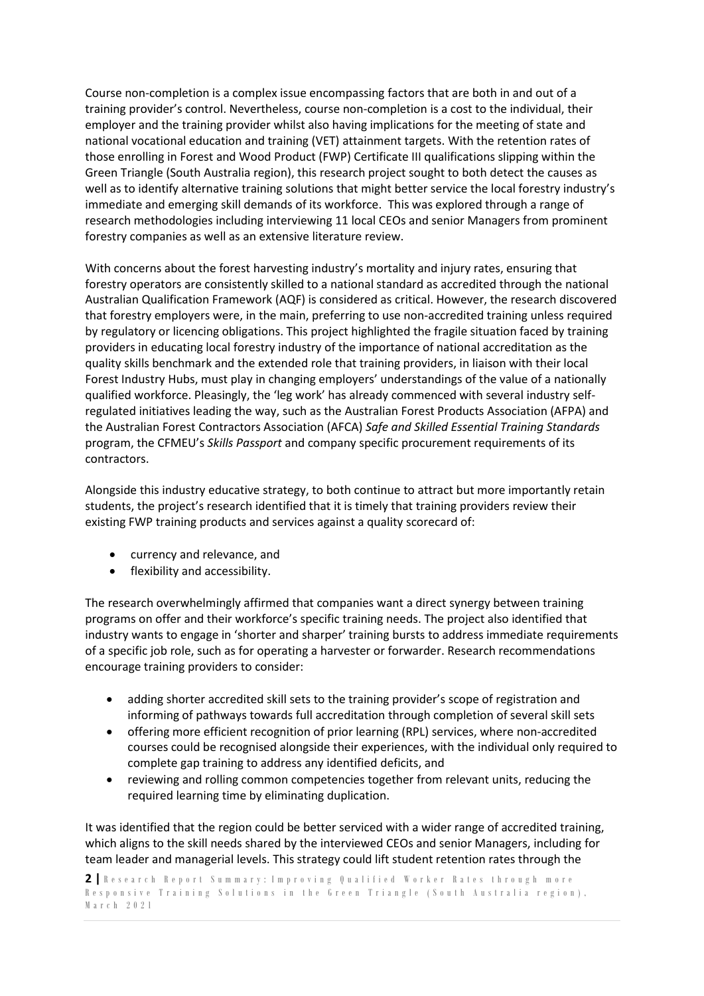Course non-completion is a complex issue encompassing factors that are both in and out of a training provider's control. Nevertheless, course non-completion is a cost to the individual, their employer and the training provider whilst also having implications for the meeting of state and national vocational education and training (VET) attainment targets. With the retention rates of those enrolling in Forest and Wood Product (FWP) Certificate III qualifications slipping within the Green Triangle (South Australia region), this research project sought to both detect the causes as well as to identify alternative training solutions that might better service the local forestry industry's immediate and emerging skill demands of its workforce. This was explored through a range of research methodologies including interviewing 11 local CEOs and senior Managers from prominent forestry companies as well as an extensive literature review.

With concerns about the forest harvesting industry's mortality and injury rates, ensuring that forestry operators are consistently skilled to a national standard as accredited through the national Australian Qualification Framework (AQF) is considered as critical. However, the research discovered that forestry employers were, in the main, preferring to use non-accredited training unless required by regulatory or licencing obligations. This project highlighted the fragile situation faced by training providers in educating local forestry industry of the importance of national accreditation as the quality skills benchmark and the extended role that training providers, in liaison with their local Forest Industry Hubs, must play in changing employers' understandings of the value of a nationally qualified workforce. Pleasingly, the 'leg work' has already commenced with several industry selfregulated initiatives leading the way, such as the Australian Forest Products Association (AFPA) and the Australian Forest Contractors Association (AFCA) *Safe and Skilled Essential Training Standards* program, the CFMEU's *Skills Passport* and company specific procurement requirements of its contractors.

Alongside this industry educative strategy, to both continue to attract but more importantly retain students, the project's research identified that it is timely that training providers review their existing FWP training products and services against a quality scorecard of:

- currency and relevance, and
- flexibility and accessibility.

The research overwhelmingly affirmed that companies want a direct synergy between training programs on offer and their workforce's specific training needs. The project also identified that industry wants to engage in 'shorter and sharper' training bursts to address immediate requirements of a specific job role, such as for operating a harvester or forwarder. Research recommendations encourage training providers to consider:

- adding shorter accredited skill sets to the training provider's scope of registration and informing of pathways towards full accreditation through completion of several skill sets
- offering more efficient recognition of prior learning (RPL) services, where non-accredited courses could be recognised alongside their experiences, with the individual only required to complete gap training to address any identified deficits, and
- reviewing and rolling common competencies together from relevant units, reducing the required learning time by eliminating duplication.

It was identified that the region could be better serviced with a wider range of accredited training, which aligns to the skill needs shared by the interviewed CEOs and senior Managers, including for team leader and managerial levels. This strategy could lift student retention rates through the

```
2 | R e s e a r c h R e p o r t S u m m a r y : I m p r o v i n g Q u a l i f i e d W o r k e r R a t e s t h r o u g h m o r e 
Responsive Training Solutions in the Green Triangle (South Australia region),
M a r c h 2 0 2 1
```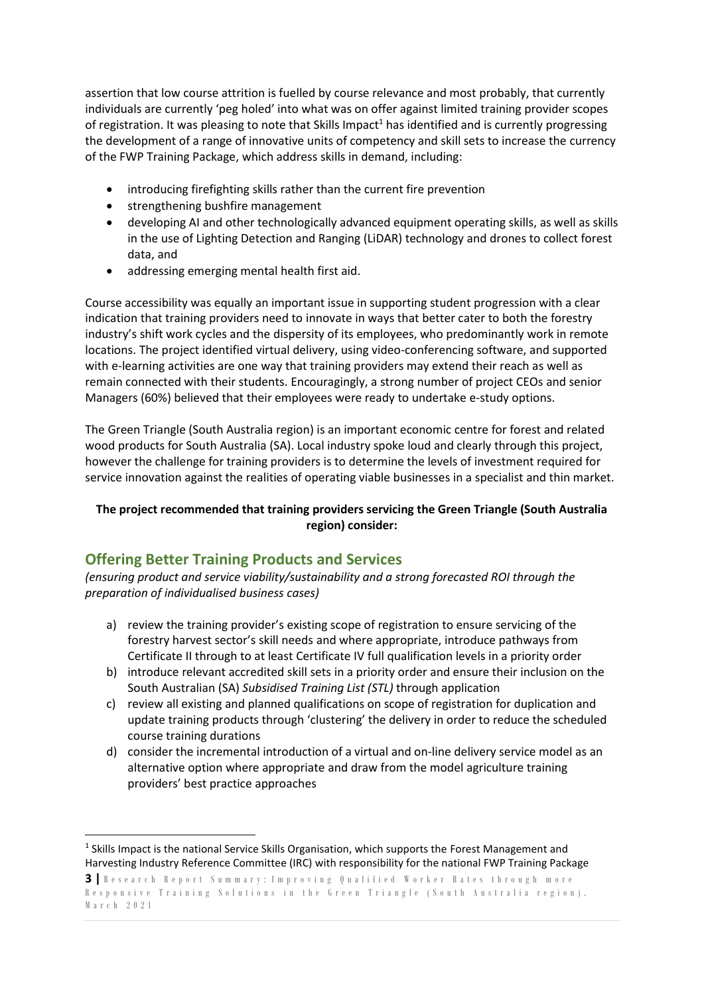assertion that low course attrition is fuelled by course relevance and most probably, that currently individuals are currently 'peg holed' into what was on offer against limited training provider scopes of registration. It was pleasing to note that Skills Impact<sup>1</sup> has identified and is currently progressing the development of a range of innovative units of competency and skill sets to increase the currency of the FWP Training Package, which address skills in demand, including:

- introducing firefighting skills rather than the current fire prevention
- strengthening bushfire management
- developing AI and other technologically advanced equipment operating skills, as well as skills in the use of Lighting Detection and Ranging (LiDAR) technology and drones to collect forest data, and
- addressing emerging mental health first aid.

Course accessibility was equally an important issue in supporting student progression with a clear indication that training providers need to innovate in ways that better cater to both the forestry industry's shift work cycles and the dispersity of its employees, who predominantly work in remote locations. The project identified virtual delivery, using video-conferencing software, and supported with e-learning activities are one way that training providers may extend their reach as well as remain connected with their students. Encouragingly, a strong number of project CEOs and senior Managers (60%) believed that their employees were ready to undertake e-study options.

The Green Triangle (South Australia region) is an important economic centre for forest and related wood products for South Australia (SA). Local industry spoke loud and clearly through this project, however the challenge for training providers is to determine the levels of investment required for service innovation against the realities of operating viable businesses in a specialist and thin market.

#### **The project recommended that training providers servicing the Green Triangle (South Australia region) consider:**

#### **Offering Better Training Products and Services**

*(ensuring product and service viability/sustainability and a strong forecasted ROI through the preparation of individualised business cases)*

- a) review the training provider's existing scope of registration to ensure servicing of the forestry harvest sector's skill needs and where appropriate, introduce pathways from Certificate II through to at least Certificate IV full qualification levels in a priority order
- b) introduce relevant accredited skill sets in a priority order and ensure their inclusion on the South Australian (SA) *Subsidised Training List (STL)* through application
- c) review all existing and planned qualifications on scope of registration for duplication and update training products through 'clustering' the delivery in order to reduce the scheduled course training durations
- d) consider the incremental introduction of a virtual and on-line delivery service model as an alternative option where appropriate and draw from the model agriculture training providers' best practice approaches

**<sup>3</sup>** | Research Report Summary: Improving Qualified Worker Rates through more Responsive Training Solutions in the Green Triangle (South Australia region), M a r c h 2 0 2 1 <sup>1</sup> Skills Impact is the national Service Skills Organisation, which supports the Forest Management and Harvesting Industry Reference Committee (IRC) with responsibility for the national FWP Training Package